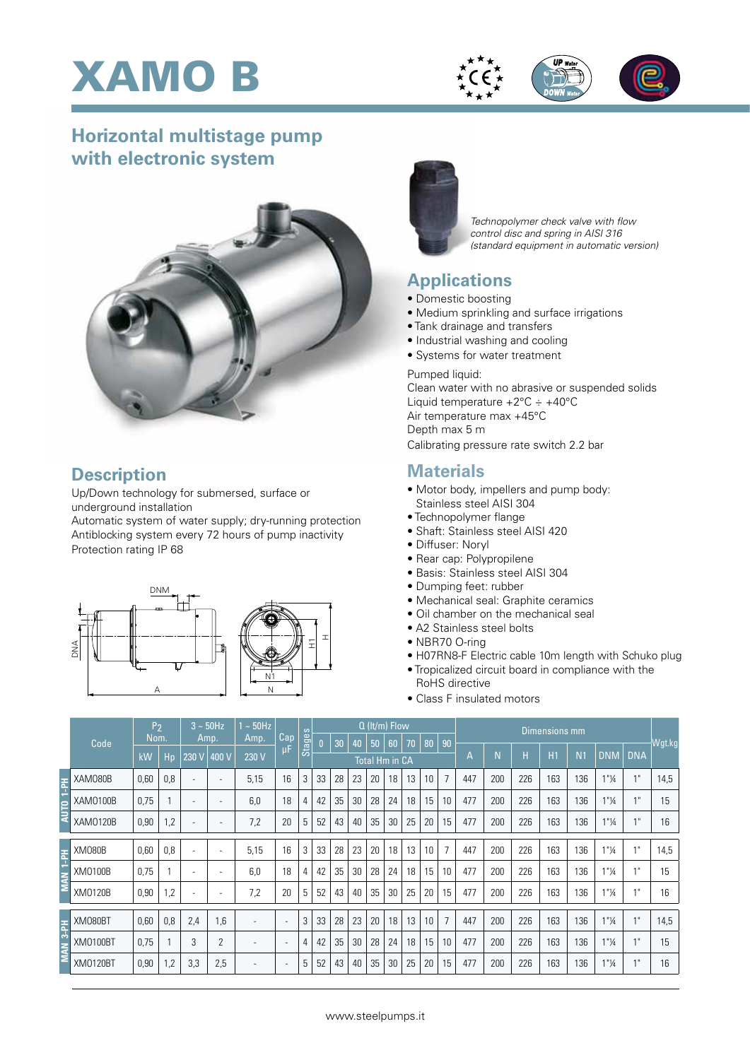





## **Horizontal multistage pump with electronic system**



#### **Description**

Up/Down technology for submersed, surface or underground installation

Automatic system of water supply; dry-running protection Antiblocking system every 72 hours of pump inactivity Protection rating IP 68





*Technopolymer check valve with flow control disc and spring in AISI 316 (standard equipment in automatic version)*

### **Applications**

- Domestic boosting
- Medium sprinkling and surface irrigations
- Tank drainage and transfers
- Industrial washing and cooling
- Systems for water treatment

Pumped liquid: Clean water with no abrasive or suspended solids Liquid temperature  $+2^{\circ}$ C  $\div$   $+40^{\circ}$ C Air temperature max +45°C Depth max 5 m Calibrating pressure rate switch 2.2 bar

#### **Materials**

- Motor body, impellers and pump body: Stainless steel AISI 304
- Technopolymer flange
- Shaft: Stainless steel AISI 420
- Diffuser: Noryl
- Rear cap: Polypropilene
- Basis: Stainless steel AISI 304
- Dumping feet: rubber
- Mechanical seal: Graphite ceramics
- Oil chamber on the mechanical seal
- A2 Stainless steel bolts
- NBR70 O-ring
- H07RN8-F Electric cable 10m length with Schuko plug
- Tropicalized circuit board in compliance with the RoHS directive
- Class F insulated motors

|               |                 | P <sub>2</sub> |     | $3 \sim 50$ Hz |                          | $~\sim 50$ Hz |                          | $\omega$   | $Q$ (It/m) Flow |    |    |    |    |    |    |    | <b>Dimensions mm</b> |     |                |            |            |                                  |                 |        |  |  |  |  |
|---------------|-----------------|----------------|-----|----------------|--------------------------|---------------|--------------------------|------------|-----------------|----|----|----|----|----|----|----|----------------------|-----|----------------|------------|------------|----------------------------------|-----------------|--------|--|--|--|--|
| Code          |                 | Nom.           |     | Amp.           |                          | Amp.          | Cap                      | $\ddot{a}$ | $\mathsf{n}$    | 30 | 40 | 50 | 60 | 70 | 80 | 90 |                      |     |                |            |            |                                  |                 | Wgt.kg |  |  |  |  |
|               |                 | kW             | Hp  | 230 V          | 400 V                    | 230 V         | μF                       | Sta        | Total Hm in CA  |    |    |    |    |    | A  | N  | H                    | H1  | N <sub>1</sub> | <b>DNM</b> | <b>DNA</b> |                                  |                 |        |  |  |  |  |
| Ŧ             | XAM080B         | 0,60           | 0,8 | ٠              | $\overline{\phantom{a}}$ | 5,15          | 16                       | 3          | 33              | 28 | 23 | 20 | 18 | 13 | 10 |    | 447                  | 200 | 226            | 163        | 136        | $1"$ <sup>1</sup> / <sub>4</sub> | 4 <sub>ii</sub> | 14,5   |  |  |  |  |
|               | XAM0100B        | 0,75           |     | ٠              | $\overline{\phantom{0}}$ | 6,0           | 18                       | 4          | 42              | 35 | 30 | 28 | 24 | 18 | 15 | 10 | 477                  | 200 | 226            | 163        | 136        | $1"$ <sup>1</sup> / <sub>4</sub> | 4 <sub>ii</sub> | 15     |  |  |  |  |
|               | XAM0120B        | 0,90           | 1,2 | ۰              |                          | 7,2           | 20                       | 5          | 52              | 43 | 40 | 35 | 30 | 25 | 20 | 15 | 477                  | 200 | 226            | 163        | 136        | $1"$ <sup>1</sup> / <sub>4</sub> | 4H              | 16     |  |  |  |  |
| $\frac{1}{2}$ | <b>XM080B</b>   | 0,60           | 0,8 | ٠              | $\overline{\phantom{a}}$ | 5,15          | 16                       | 3          | 33              | 28 | 23 | 20 | 18 | 13 | 10 | 7  | 447                  | 200 | 226            | 163        | 136        | 1"14                             | 1 <sup>11</sup> | 14,5   |  |  |  |  |
|               | XM0100B         | 0,75           |     | ٠              | $\overline{\phantom{a}}$ | 6,0           | 18                       | 4          | 42              | 35 | 30 | 28 | 24 | 18 | 15 | 10 | 477                  | 200 | 226            | 163        | 136        | 1"14                             | 4 <sub>ii</sub> | 15     |  |  |  |  |
|               | XM0120B         | 0,90           | 1,2 | ٠              | $\overline{\phantom{a}}$ | 7,2           | 20                       | 5          | 52              | 43 | 40 | 35 | 30 | 25 | 20 | 15 | 477                  | 200 | 226            | 163        | 136        | 1"14                             | 1 <sup>ii</sup> | 16     |  |  |  |  |
| $3-$ PH       | XM080BT         | 0,60           | 0,8 | 2,4            | 1,6                      |               | $\overline{\phantom{0}}$ | 3          | 33              | 28 | 23 | 20 | 18 | 13 | 10 | 7  | 447                  | 200 | 226            | 163        | 136        | 1"14                             | 4 <sub>ii</sub> | 14,5   |  |  |  |  |
|               | <b>XM0100BT</b> | 0,75           |     | 3              | 2                        |               | $\overline{\phantom{0}}$ | 4          | 42              | 35 | 30 | 28 | 24 | 18 | 15 | 10 | 477                  | 200 | 226            | 163        | 136        | 1"1/4                            | 4 <sub>ii</sub> | 15     |  |  |  |  |
|               | <b>XM0120BT</b> | 0,90           | 1,2 | 3,3            | 2,5                      |               | $\overline{\phantom{0}}$ | 5          | 52              | 43 | 40 | 35 | 30 | 25 | 20 | 15 | 477                  | 200 | 226            | 163        | 136        | 1"1/4                            | 4 <sup>ii</sup> | 16     |  |  |  |  |